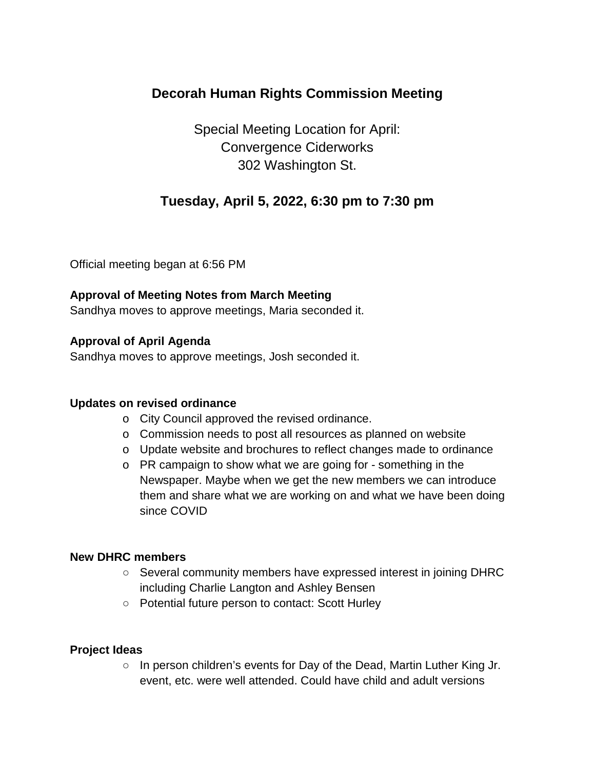# **Decorah Human Rights Commission Meeting**

Special Meeting Location for April: Convergence Ciderworks 302 Washington St.

## **Tuesday, April 5, 2022, 6:30 pm to 7:30 pm**

Official meeting began at 6:56 PM

## **Approval of Meeting Notes from March Meeting**

Sandhya moves to approve meetings, Maria seconded it.

## **Approval of April Agenda**

Sandhya moves to approve meetings, Josh seconded it.

### **Updates on revised ordinance**

- o City Council approved the revised ordinance.
- o Commission needs to post all resources as planned on website
- o Update website and brochures to reflect changes made to ordinance
- o PR campaign to show what we are going for something in the Newspaper. Maybe when we get the new members we can introduce them and share what we are working on and what we have been doing since COVID

### **New DHRC members**

- Several community members have expressed interest in joining DHRC including Charlie Langton and Ashley Bensen
- Potential future person to contact: Scott Hurley

### **Project Ideas**

 $\circ$  In person children's events for Day of the Dead, Martin Luther King Jr. event, etc. were well attended. Could have child and adult versions